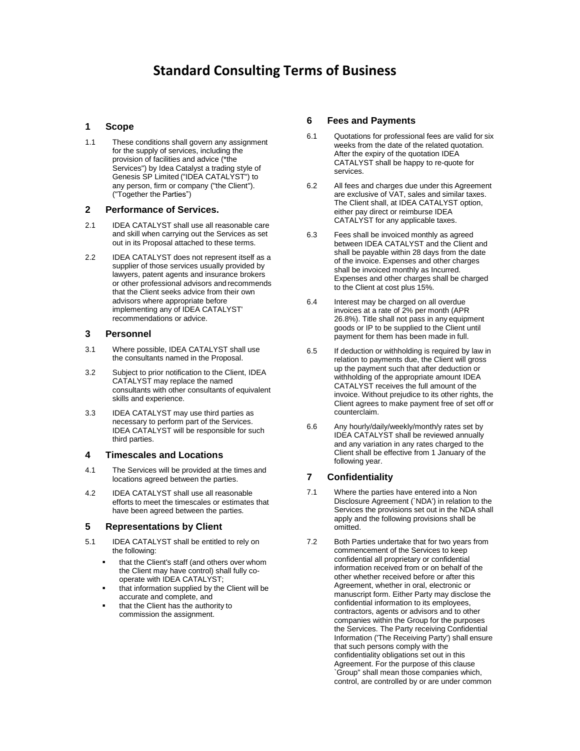# **Standard Consulting Terms of Business**

#### **1 Scope**

1.1 These conditions shall govern any assignment for the supply of services, including the provision of facilities and advice (\*the Services") by Idea Catalyst a trading style of Genesis SP Limited ("IDEA CATALYST") to any person, firm or company ("the Client"). ("Together the Parties")

#### **2 Performance of Services.**

- 2.1 IDEA CATALYST shall use all reasonable care and skill when carrying out the Services as set out in its Proposal attached to these terms.
- 2.2 IDEA CATALYST does not represent itself as a supplier of those services usually provided by lawyers, patent agents and insurance brokers or other professional advisors and recommends that the Client seeks advice from their own advisors where appropriate before implementing any of IDEA CATALYST' recommendations or advice.

#### **3 Personnel**

- 3.1 Where possible, IDEA CATALYST shall use the consultants named in the Proposal.
- 3.2 Subject to prior notification to the Client, IDEA CATALYST may replace the named consultants with other consultants of equivalent skills and experience.
- 3.3 IDEA CATALYST may use third parties as necessary to perform part of the Services. IDEA CATALYST will be responsible for such third parties.

#### **4 Timescales and Locations**

- 4.1 The Services will be provided at the times and locations agreed between the parties.
- 4.2 IDEA CATALYST shall use all reasonable efforts to meet the timescales or estimates that have been agreed between the parties.

#### **5 Representations by Client**

- 5.1 IDEA CATALYST shall be entitled to rely on the following:
	- that the Client's staff (and others over whom the Client may have control) shall fully cooperate with IDEA CATALYST;
	- that information supplied by the Client will be accurate and complete, and
	- that the Client has the authority to commission the assignment.

#### **6 Fees and Payments**

- 6.1 Quotations for professional fees are valid for six weeks from the date of the related quotation. After the expiry of the quotation IDEA CATALYST shall be happy to re-quote for services.
- 6.2 All fees and charges due under this Agreement are exclusive of VAT, sales and similar taxes. The Client shall, at IDEA CATALYST option, either pay direct or reimburse IDEA CATALYST for any applicable taxes.
- 6.3 Fees shall be invoiced monthly as agreed between IDEA CATALYST and the Client and shall be payable within 28 days from the date of the invoice. Expenses and other charges shall be invoiced monthly as Incurred. Expenses and other charges shall be charged to the Client at cost plus 15%.
- 6.4 Interest may be charged on all overdue invoices at a rate of 2% per month (APR 26.8%). Title shall not pass in any equipment goods or IP to be supplied to the Client until payment for them has been made in full.
- 6.5 If deduction or withholding is required by law in relation to payments due, the Client will gross up the payment such that after deduction or withholding of the appropriate amount IDEA CATALYST receives the full amount of the invoice. Without prejudice to its other rights, the Client agrees to make payment free of set off or counterclaim.
- 6.6 Any hourly/daily/weekly/month/y rates set by IDEA CATALYST shall be reviewed annually and any variation in any rates charged to the Client shall be effective from 1 January of the following year.

#### **7 Confidentiality**

- 7.1 Where the parties have entered into a Non Disclosure Agreement (`NDA') in relation to the Services the provisions set out in the NDA shall apply and the following provisions shall be omitted.
- 7.2 Both Parties undertake that for two years from commencement of the Services to keep confidential all proprietary or confidential information received from or on behalf of the other whether received before or after this Agreement, whether in oral, electronic or manuscript form. Either Party may disclose the confidential information to its employees, contractors, agents or advisors and to other companies within the Group for the purposes the Services. The Party receiving Confidential Information ('The Receiving Party') shall ensure that such persons comply with the confidentiality obligations set out in this Agreement. For the purpose of this clause `Group" shall mean those companies which, control, are controlled by or are under common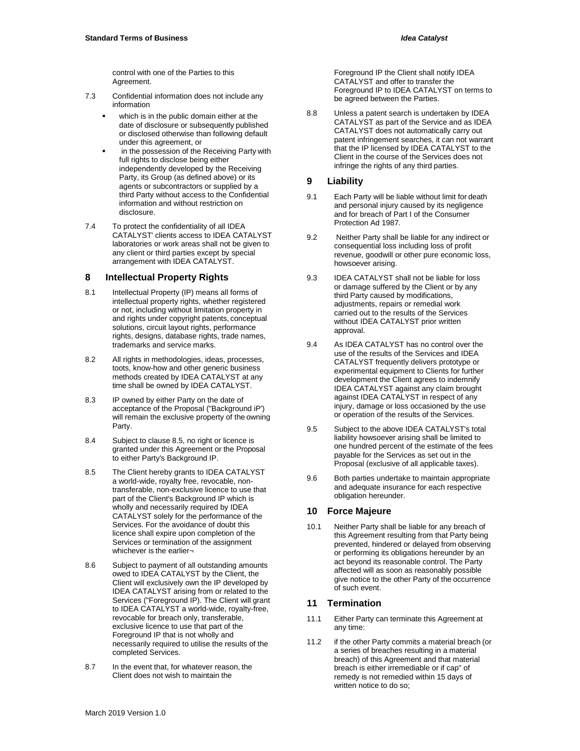control with one of the Parties to this Agreement.

- 7.3 Confidential information does not include any information
	- which is in the public domain either at the date of disclosure or subsequently published or disclosed otherwise than following default under this agreement, or
	- in the possession of the Receiving Party with full rights to disclose being either independently developed by the Receiving Party, its Group (as defined above) or its agents or subcontractors or supplied by a third Party without access to the Confidential information and without restriction on disclosure.
- 7.4 To protect the confidentiality of all IDEA CATALYST' clients access to IDEA CATALYST laboratories or work areas shall not be given to any client or third parties except by special arrangement with IDEA CATALYST.

#### **8 Intellectual Property Rights**

- 8.1 Intellectual Property (IP) means all forms of intellectual property rights, whether registered or not, including without limitation property in and rights under copyright patents, conceptual solutions, circuit layout rights, performance rights, designs, database rights, trade names, trademarks and service marks.
- 8.2 All rights in methodologies, ideas, processes, toots, know-how and other generic business methods created by IDEA CATALYST at any time shall be owned by IDEA CATALYST.
- 8.3 IP owned by either Party on the date of acceptance of the Proposal ("Background iP') will remain the exclusive property of the owning Party.
- 8.4 Subject to clause 8.5, no right or licence is granted under this Agreement or the Proposal to either Party's Background IP.
- 8.5 The Client hereby grants to IDEA CATALYST a world-wide, royalty free, revocable, nontransferable, non-exclusive licence to use that part of the Client's Background IP which is wholly and necessarily required by IDEA CATALYST solely for the performance of the Services. For the avoidance of doubt this licence shall expire upon completion of the Services or termination of the assignment whichever is the earlier-
- 8.6 Subject to payment of all outstanding amounts owed to IDEA CATALYST by the Client, the Client will exclusively own the IP developed by IDEA CATALYST arising from or related to the Services ("Foreground IP). The Client will grant to IDEA CATALYST a world-wide, royalty-free, revocable for breach only, transferable, exclusive licence to use that part of the Foreground IP that is not wholly and necessarily required to utilise the results of the completed Services.
- 8.7 In the event that, for whatever reason, the Client does not wish to maintain the

Foreground IP the Client shall notify IDEA CATALYST and offer to transfer the Foreground IP to IDEA CATALYST on terms to be agreed between the Parties.

8.8 Unless a patent search is undertaken by IDEA CATALYST as part of the Service and as IDEA CATALYST does not automatically carry out patent infringement searches, it can not warrant that the IP licensed by IDEA CATALYST to the Client in the course of the Services does not infringe the rights of any third parties.

#### **9 Liability**

- 9.1 Each Party will be liable without limit for death and personal injury caused by its negligence and for breach of Part I of the Consumer Protection Ad 1987.
- 9.2 Neither Party shall be liable for any indirect or consequential loss including loss of profit revenue, goodwill or other pure economic loss, howsoever arising.
- 9.3 IDEA CATALYST shall not be liable for loss or damage suffered by the Client or by any third Party caused by modifications, adjustments, repairs or remedial work carried out to the results of the Services without IDEA CATALYST prior written approval.
- 9.4 As IDEA CATALYST has no control over the use of the results of the Services and IDEA CATALYST frequently delivers prototype or experimental equipment to Clients for further development the Client agrees to indemnify IDEA CATALYST against any claim brought against IDEA CATALYST in respect of any injury, damage or loss occasioned by the use or operation of the results of the Services.
- 9.5 Subject to the above IDEA CATALYST's total liability howsoever arising shall be limited to one hundred percent of the estimate of the fees payable for the Services as set out in the Proposal (exclusive of all applicable taxes).
- 9.6 Both parties undertake to maintain appropriate and adequate insurance for each respective obligation hereunder.

## **10 Force Majeure**

10.1 Neither Party shall be liable for any breach of this Agreement resulting from that Party being prevented, hindered or delayed from observing or performing its obligations hereunder by an act beyond its reasonable control. The Party affected will as soon as reasonably possible give notice to the other Party of the occurrence of such event.

## **11 Termination**

- 11.1 Either Party can terminate this Agreement at any time:
- 11.2 if the other Party commits a material breach (or a series of breaches resulting in a material breach) of this Agreement and that material breach is either irremediable or if cap" of remedy is not remedied within 15 days of written notice to do so;